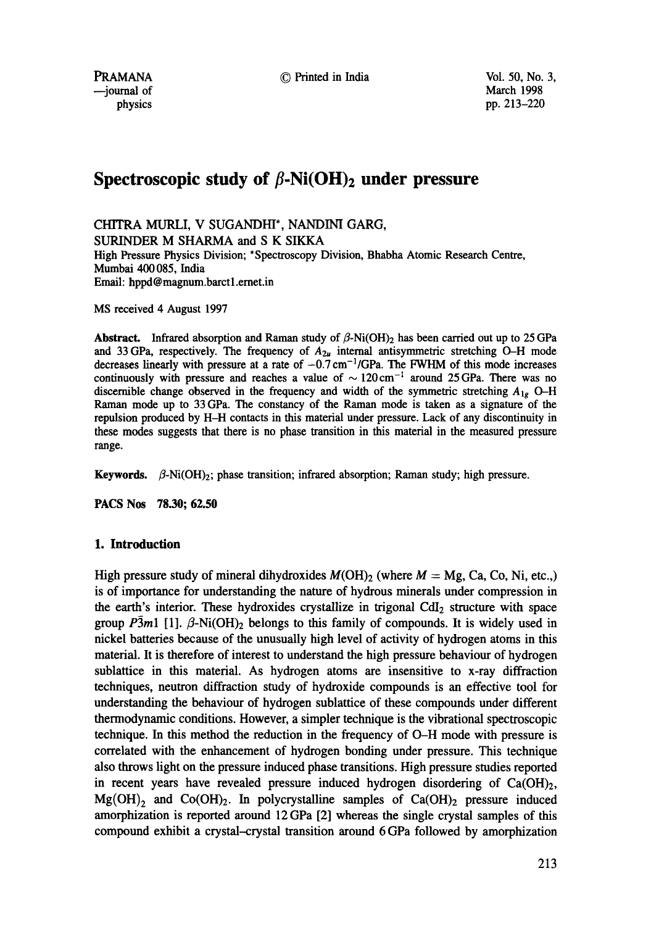PRAMANA © Printed in India Vol. 50, No. 3,

# Spectroscopic study of  $\beta$ -Ni(OH)<sub>2</sub> under pressure

CHITRA MURLI, V SUGANDHI\*, NANDINI GARG, SURINDER M SHARMA and S K SIKKA High Pressure Physics Division; \*Spectroscopy Division, Bhabha Atomic Research Centre, Mumbai 400 085, India

Email: hppd@magnum.barct 1.emet.in

MS received 4 August 1997

**Abstract.** Infrared absorption and Raman study of  $\beta$ -Ni(OH)<sub>2</sub> has been carried out up to 25 GPa and 33 GPa, respectively. The frequency of  $A_{2\mu}$  internal antisymmetric stretching O-H mode decreases linearly with pressure at a rate of  $-0.7 \text{ cm}^{-1}/\text{GPa}$ . The FWHM of this mode increases continuously with pressure and reaches a value of  $\sim 120 \text{ cm}^{-1}$  around 25 GPa. There was no discernible change observed in the frequency and width of the symmetric stretching *Alg O-H*  Raman mode up to 33 GPa. The constancy of the Raman mode is taken as a signature of the repulsion produced by H-H contacts in this material under pressure. Lack of any discontinuity in these modes suggests that there is no phase transition in this material in the measured pressure range.

Keywords.  $\beta$ -Ni(OH)<sub>2</sub>; phase transition; infrared absorption; Raman study; high pressure.

**PACS Nos 78.30; 62.50** 

## **1. Introduction**

High pressure study of mineral dihydroxides  $M(OH)_{2}$  (where  $M = Mg$ , Ca, Co, Ni, etc.) is of importance for understanding the nature of hydrous minerals under compression in the earth's interior. These hydroxides crystallize in trigonal  $CdI<sub>2</sub>$  structure with space group  $\overline{P3m1}$  [1].  $\beta$ -Ni(OH)<sub>2</sub> belongs to this family of compounds. It is widely used in nickel batteries because of the unusually high level of activity of hydrogen atoms in this material. It is therefore of interest to understand the high pressure behaviour of hydrogen sublattice in this material. As hydrogen atoms are insensitive to x-ray diffraction techniques, neutron diffraction study of hydroxide compounds is an effective tool for understanding the behaviour of hydrogen sublattice of these compounds under different thermodynamic conditions. However, a simpler technique is the vibrational spectroscopic technique. In this method the reduction in the frequency of O-H mode with pressure is correlated with the enhancement of hydrogen bonding under pressure. This technique also throws light on the pressure induced phase transitions. High pressure studies reported in recent years have revealed pressure induced hydrogen disordering of  $Ca(OH)<sub>2</sub>$ ,  $Mg(OH)$ , and  $Co(OH)_2$ . In polycrystalline samples of Ca(OH)<sub>2</sub> pressure induced amorphization is reported around 12 GPa [2] whereas the single crystal samples of this compound exhibit a crystal--crystal transition around 6 GPa followed by amorphization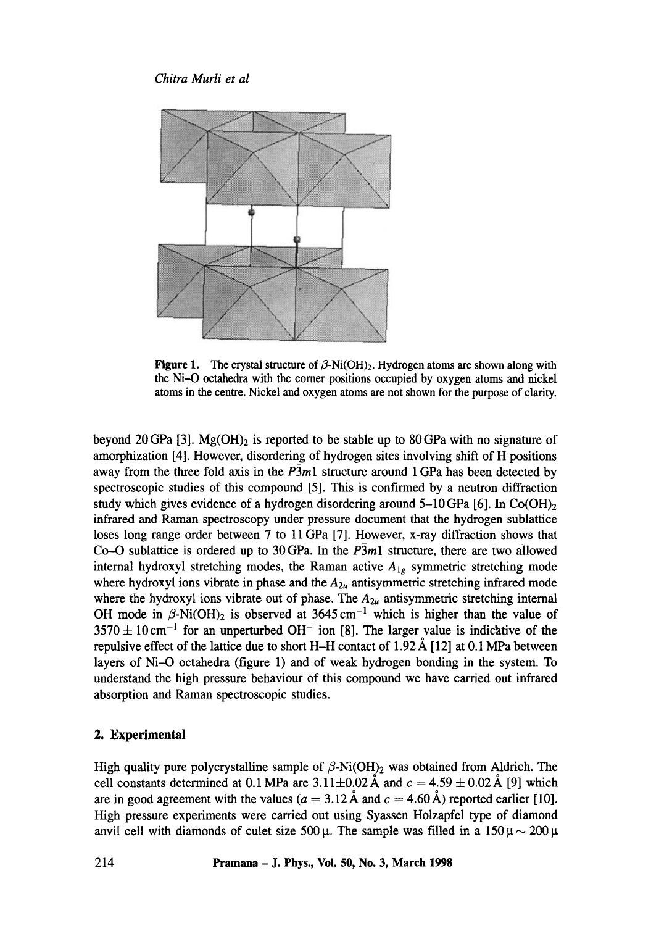## *Chitra Murli et al*



**Figure 1.** The crystal structure of  $\beta$ -Ni(OH)<sub>2</sub>. Hydrogen atoms are shown along with the Ni--O octahedra with the comer positions occupied by oxygen atoms and nickel atoms in the centre. Nickel and oxygen atoms are not shown for the purpose of clarity.

beyond 20 GPa [3]. Mg(OH)<sub>2</sub> is reported to be stable up to 80 GPa with no signature of amorphization [4]. However, disordering of hydrogen sites involving shift of H positions away from the three fold axis in the *P3ml* structure around 1 GPa has been detected by spectroscopic studies of this compound [5]. This is confirmed by a neutron diffraction study which gives evidence of a hydrogen disordering around  $5{\text -}10$  GPa [6]. In Co(OH)<sub>2</sub> infrared and Raman spectroscopy under pressure document that the hydrogen sublattice loses long range order between 7 to 11 GPa [7]. However, x-ray diffraction shows that Co-O sublattice is ordered up to 30 GPa. In the  $P\overline{3}m1$  structure, there are two allowed internal hydroxyl stretching modes, the Raman active *Alg* symmetric stretching mode where hydroxyl ions vibrate in phase and the  $A_{2u}$  antisymmetric stretching infrared mode where the hydroxyl ions vibrate out of phase. The  $A_{2u}$  antisymmetric stretching internal OH mode in  $\beta$ -Ni(OH)<sub>2</sub> is observed at 3645 cm<sup>-1</sup> which is higher than the value of  $3570 \pm 10 \text{ cm}^{-1}$  for an unperturbed OH<sup>-</sup> ion [8]. The larger value is indicative of the repulsive effect of the lattice due to short H-H contact of 1.92  $\AA$  [12] at 0.1 MPa between layers of Ni-O octahedra (figure 1) and of weak hydrogen bonding in the system. To understand the high pressure behaviour of this compound we have carried out infrared absorption and Raman spectroscopic studies.

## **2. Experimental**

High quality pure polycrystalline sample of  $\beta$ -Ni(OH)<sub>2</sub> was obtained from Aldrich. The cell constants determined at 0.1 MPa are 3.11 $\pm$ 0.02 Å and  $c = 4.59 \pm 0.02$  Å [9] which are in good agreement with the values ( $a = 3.12 \text{ Å}$  and  $c = 4.60 \text{ Å}$ ) reported earlier [10]. High pressure experiments were carried out using Syassen Holzapfel type of diamond anvil cell with diamonds of culet size 500  $\mu$ . The sample was filled in a 150  $\mu \sim 200 \,\mu$ .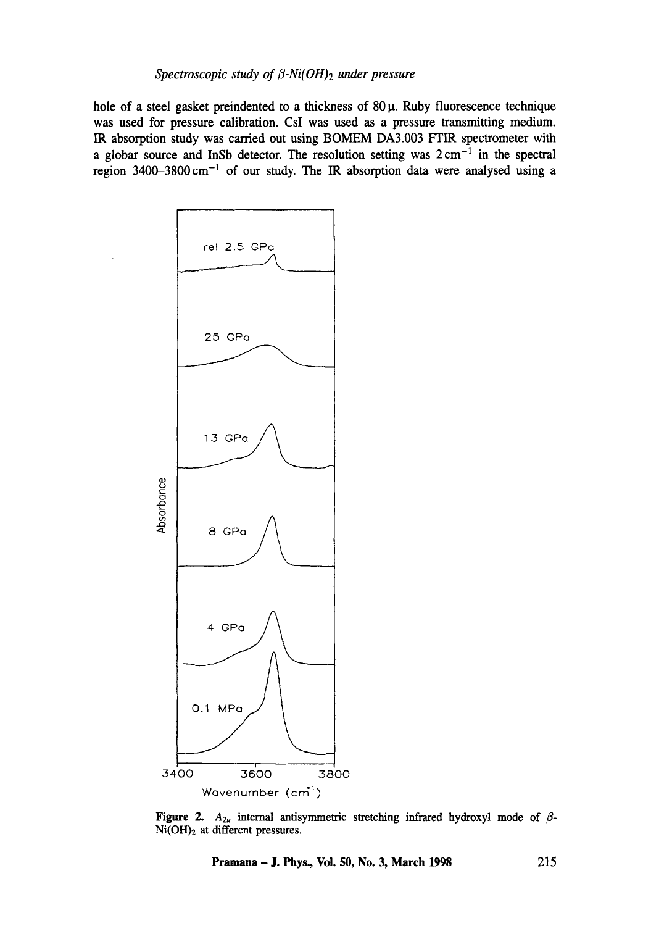## *Spectroscopic study of/3-Ni(OH)2 under pressure*

hole of a steel gasket preindented to a thickness of  $80 \mu$ . Ruby fluorescence technique was used for pressure calibration. CsI was used as a pressure transmitting medium. IR absorption study was carried out using BOMEM DA3.003 FTIR spectrometer with a globar source and InSb detector. The resolution setting was  $2 \text{ cm}^{-1}$  in the spectral region 3400-3800cm -1 of our study. The IR absorption data were analysed using a



Figure 2.  $A_{2u}$  internal antisymmetric stretching infrared hydroxyl mode of  $\beta$ -Ni(OH)<sub>2</sub> at different pressures.

**Pramana - J. Phys., Vol. 50, No. 3, March 1998 215**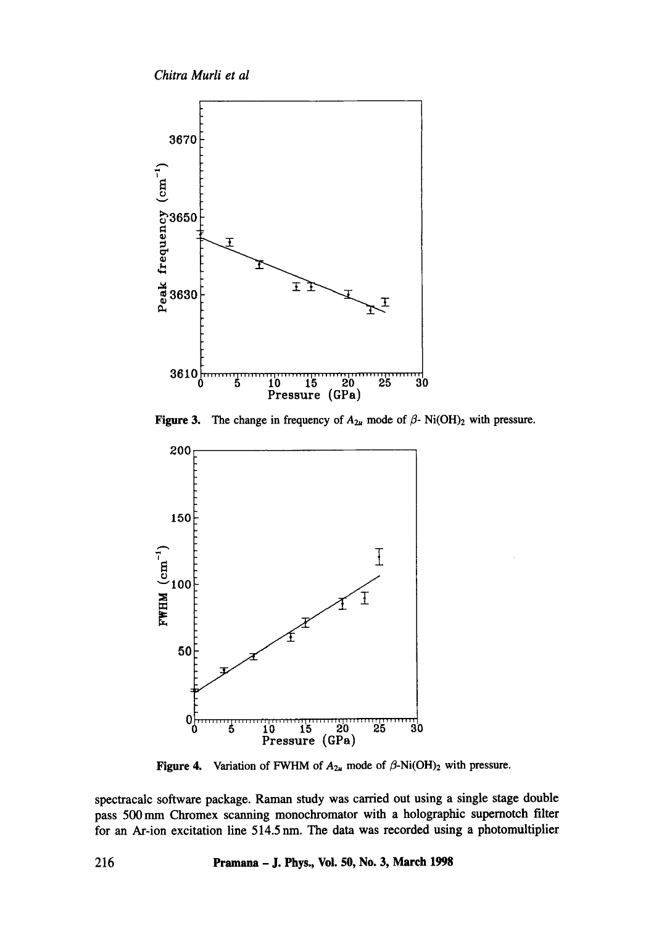*Chitra Murli et al* 



Figure 3. The change in frequency of  $A_{2u}$  mode of  $\beta$ -Ni(OH)<sub>2</sub> with pressure.



Figure 4. Variation of FWHM of  $A_{2u}$  mode of  $\beta$ -Ni(OH)<sub>2</sub> with pressure.

spectracalc software package. Raman study was carried out using a single stage double pass 500 nun Chromex scanning monochromator with a holographic supernotch filter for an Ar-ion excitation line 514.5 nm. The data was recorded using a photomultiplier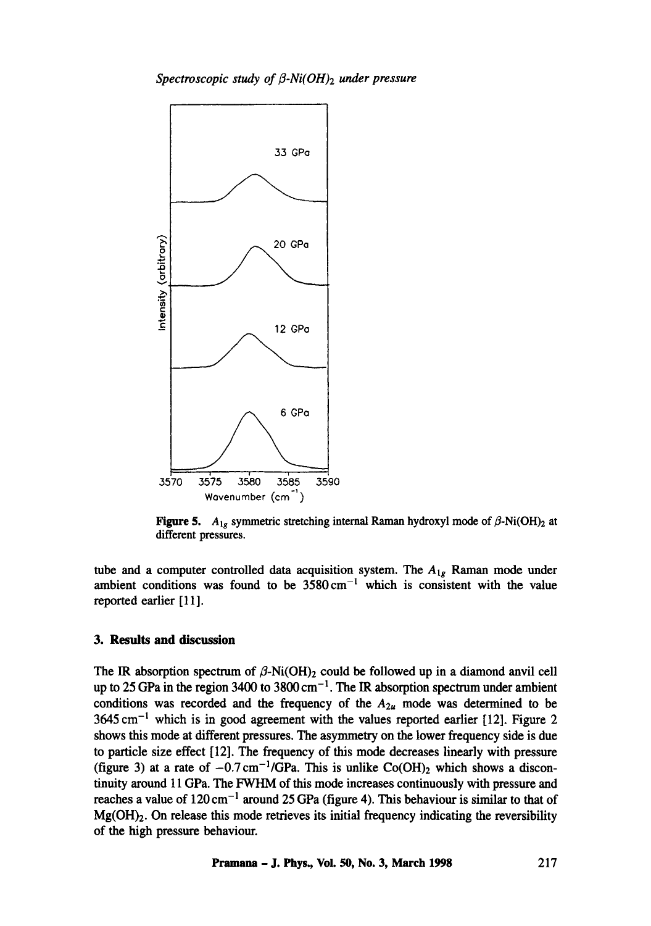

Figure 5.  $A_{1g}$  symmetric stretching internal Raman hydroxyl mode of  $\beta$ -Ni(OH)<sub>2</sub> at different pressures.

tube and a computer controlled data acquisition system. The *Alg* Raman mode under ambient conditions was found to be  $3580 \text{ cm}^{-1}$  which is consistent with the value reported earlier [ 11].

#### **3. Results and discussion**

The IR absorption spectrum of  $\beta$ -Ni(OH)<sub>2</sub> could be followed up in a diamond anvil cell up to 25 GPa in the region 3400 to 3800 cm<sup>-1</sup>. The IR absorption spectrum under ambient conditions was recorded and the frequency of the  $A_{2u}$  mode was determined to be  $3645 \text{ cm}^{-1}$  which is in good agreement with the values reported earlier [12]. Figure 2 shows this mode at different pressures. The asymmetry on the lower frequency side is due to particle size effect [12]. The frequency of this mode decreases linearly with pressure (figure 3) at a rate of  $-0.7 \text{ cm}^{-1}/\text{GPa}$ . This is unlike Co(OH)<sub>2</sub> which shows a discontinuity around 11 GPa. The FWHM of this mode increases continuously with pressure and reaches a value of  $120 \text{ cm}^{-1}$  around 25 GPa (figure 4). This behaviour is similar to that of  $Mg(OH)<sub>2</sub>$ . On release this mode retrieves its initial frequency indicating the reversibility of the high pressure behaviour.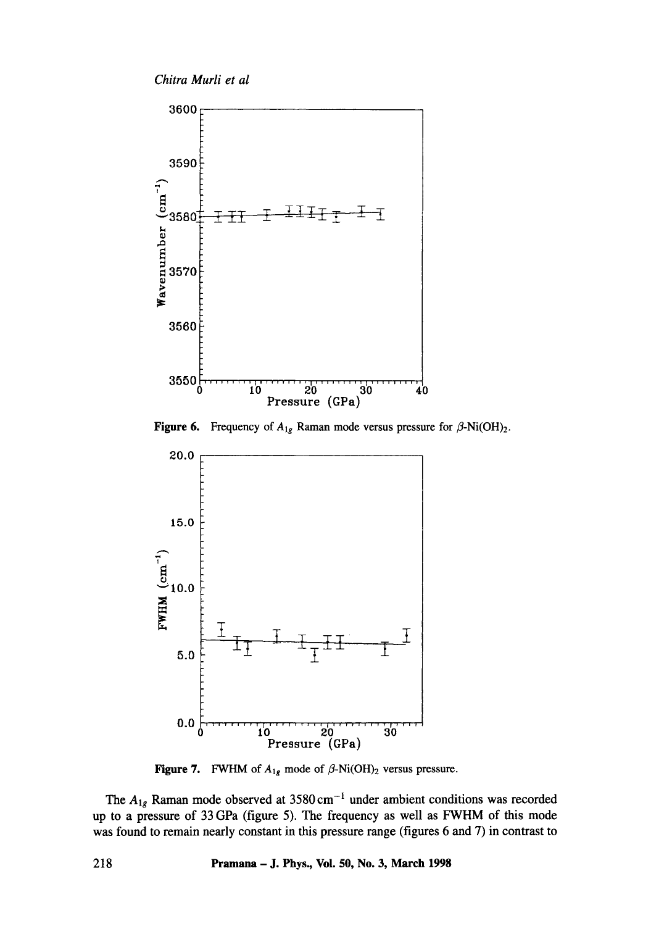*ChitraMurlietal* 



**Figure 6.** Frequency of  $A_{1g}$  Raman mode versus pressure for  $\beta$ -Ni(OH)<sub>2</sub>.



Figure 7. FWHM of  $A_{1g}$  mode of  $\beta$ -Ni(OH)<sub>2</sub> versus pressure.

The  $A_{1g}$  Raman mode observed at 3580 cm<sup>-1</sup> under ambient conditions was recorded up to a pressure of 33 GPa (figure 5). The frequency as well as FWHM of this mode was found to remain nearly constant in this pressure range (figures 6 and 7) in contrast to

**218 Pramana - J. Phys., Vol. 50, No. 3, March 1998**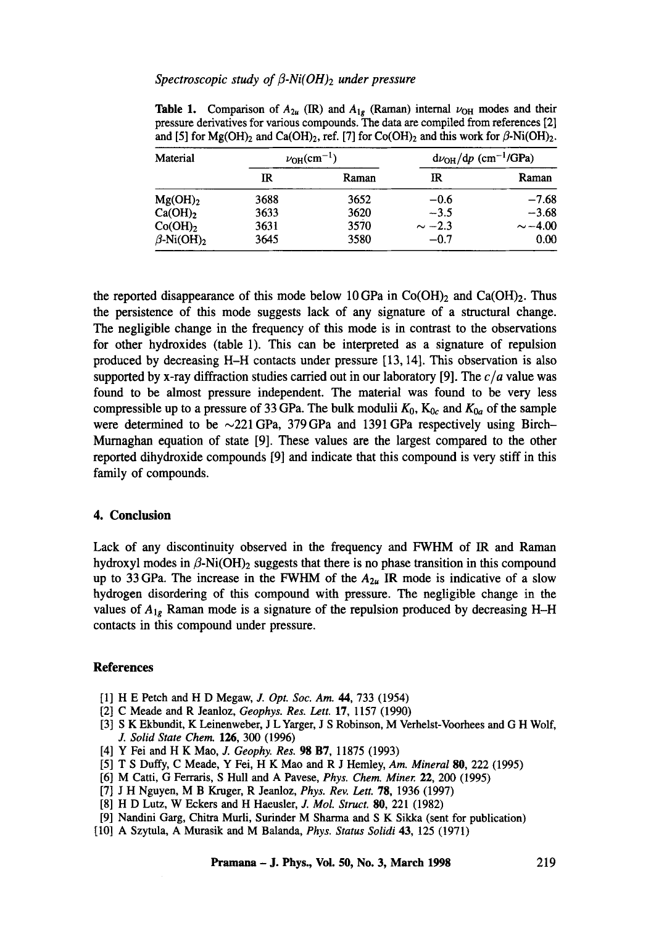## Spectroscopic study of β-Ni(OH)<sub>2</sub> under pressure

| Material                     | $\nu_{\text{OH}}(\text{cm}^{-1})$ |       | $d\nu_{OH}/dp$ (cm <sup>-1</sup> /GPa) |              |
|------------------------------|-----------------------------------|-------|----------------------------------------|--------------|
|                              | IR                                | Raman | IR                                     | Raman        |
| $Mg(OH)_{2}$                 | 3688                              | 3652  | $-0.6$                                 | $-7.68$      |
| $Ca(OH)_{2}$                 | 3633                              | 3620  | $-3.5$                                 | $-3.68$      |
| $Co(OH)_{2}$                 | 3631                              | 3570  | $\sim -2.3$                            | $\sim -4.00$ |
| $\beta$ -Ni(OH) <sub>2</sub> | 3645                              | 3580  | $-0.7$                                 | 0.00         |

**Table 1.** Comparison of  $A_{2u}$  (IR) and  $A_{1g}$  (Raman) internal  $\nu_{\text{OH}}$  modes and their pressure derivatives for various compounds. The data are compiled from references [2] and [5] for  $Mg(OH)_2$  and  $Ca(OH)_2$ , ref. [7] for  $Co(OH)_2$  and this work for  $\beta$ -Ni $(OH)_2$ .

the reported disappearance of this mode below 10 GPa in  $Co(OH)_2$  and  $Ca(OH)_2$ . Thus the persistence of this mode suggests lack of any signature of a structural change. The negligible change in the frequency of this mode is in contrast to the observations for other hydroxides (table 1). This can be interpreted as a signature of repulsion produced by decreasing H-H contacts under pressure [13, 14]. This observation is also supported by x-ray diffraction studies carried out in our laboratory [9]. The  $c/a$  value was found to be almost pressure independent. The material was found to be very less compressible up to a pressure of 33 GPa. The bulk modulii  $K_0$ ,  $K_{0c}$  and  $K_{0a}$  of the sample were determined to be  $\sim$ 221 GPa, 379 GPa and 1391 GPa respectively using Birch-Murnaghan equation of state [9]. These values are the largest compared to the other reported dihydroxide compounds [9] and indicate that this compound is very stiff in this family of compounds.

#### **4. Conclusion**

Lack of any discontinuity observed in the frequency and FWHM of IR and Raman hydroxyl modes in  $\beta$ -Ni(OH)<sub>2</sub> suggests that there is no phase transition in this compound up to 33 GPa. The increase in the FWHM of the  $A_{2\mu}$  IR mode is indicative of a slow hydrogen disordering of this compound with pressure. The negligible change in the values of  $A_{1g}$  Raman mode is a signature of the repulsion produced by decreasing H-H contacts in this compound under pressure.

#### **References**

- [1] H E Petch and H D Megaw, J. *Opt. Soc. Am.* 44, 733 (1954)
- [2] C Meade and R Jeanloz, *Geophys. Res. Lett.* 17, 1157 (1990)
- [3] S K Ekbundit, K Leinenweber, J L Yarger, J S Robinson, M Verhelst-Voorhees and G H Wolf, *J. Solid State Chem.* 126, 300 (1996)
- [4] Y Fei and H K Mao, J. *Geophy. Res.* 98 B7, 11875 (1993)
- [5] T S Duffy, C Meade, Y Fei, H K Mao and R J Hemley, *Am. Mineral* **80,** 222 (1995)
- [6] M Catti, G Ferraris, S Hull and A Pavese, *Phys. Chem. Miner.* 22, 200 (1995)
- [7] J H Nguyen, M B Kruger, R Jeanloz, *Phys. Rev. Lett.* 78, 1936 (1997)
- [8] H D Lutz, W Eckers and H Haeusler, J. *Mol. Struct.* 80, 221 (1982)
- [9] Nandini Garg, Chitra Murli, Surinder M Sharma and S K Sikka (sent for publication)
- [10] A Szytula, A Murasik and M Balanda, *Phys. Status Solidi* 43, 125 (1971)